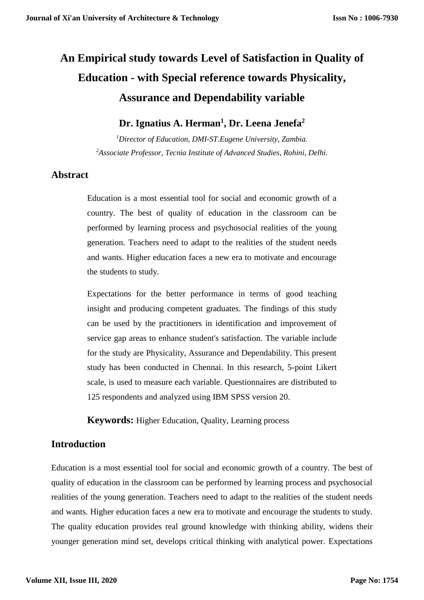# **An Empirical study towards Level of Satisfaction in Quality of Education - with Special reference towards Physicality, Assurance and Dependability variable**

# **Dr. Ignatius A. Herman<sup>1</sup> , Dr. Leena Jenefa<sup>2</sup>**

*<sup>1</sup>Director of Education, DMI-ST.Eugene University, Zambia. <sup>2</sup>Associate Professor, Tecnia Institute of Advanced Studies, Rohini, Delhi.*

## **Abstract**

Education is a most essential tool for social and economic growth of a country. The best of quality of education in the classroom can be performed by learning process and psychosocial realities of the young generation. Teachers need to adapt to the realities of the student needs and wants. Higher education faces a new era to motivate and encourage the students to study.

Expectations for the better performance in terms of good teaching insight and producing competent graduates. The findings of this study can be used by the practitioners in identification and improvement of service gap areas to enhance student's satisfaction. The variable include for the study are Physicality, Assurance and Dependability. This present study has been conducted in Chennai. In this research, 5-point Likert scale, is used to measure each variable. Questionnaires are distributed to 125 respondents and analyzed using IBM SPSS version 20.

**Keywords:** Higher Education, Quality, Learning process

# **Introduction**

Education is a most essential tool for social and economic growth of a country. The best of quality of education in the classroom can be performed by learning process and psychosocial realities of the young generation. Teachers need to adapt to the realities of the student needs and wants. Higher education faces a new era to motivate and encourage the students to study. The quality education provides real ground knowledge with thinking ability, widens their younger generation mind set, develops critical thinking with analytical power. Expectations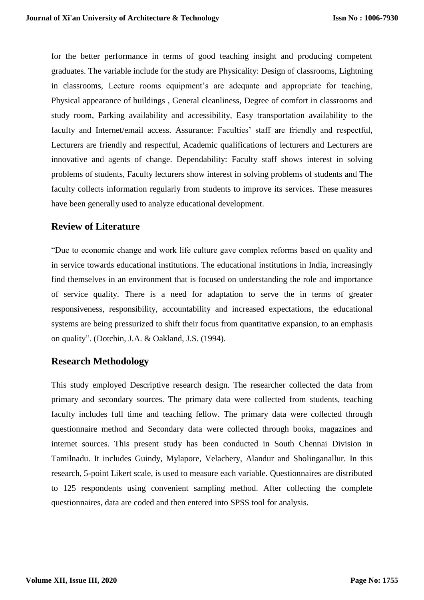for the better performance in terms of good teaching insight and producing competent graduates. The variable include for the study are Physicality: Design of classrooms, Lightning in classrooms, Lecture rooms equipment's are adequate and appropriate for teaching, Physical appearance of buildings , General cleanliness, Degree of comfort in classrooms and study room, Parking availability and accessibility, Easy transportation availability to the faculty and Internet/email access. Assurance: Faculties' staff are friendly and respectful, Lecturers are friendly and respectful, Academic qualifications of lecturers and Lecturers are innovative and agents of change. Dependability: Faculty staff shows interest in solving problems of students, Faculty lecturers show interest in solving problems of students and The faculty collects information regularly from students to improve its services. These measures have been generally used to analyze educational development.

# **Review of Literature**

"Due to economic change and work life culture gave complex reforms based on quality and in service towards educational institutions. The educational institutions in India, increasingly find themselves in an environment that is focused on understanding the role and importance of service quality. There is a need for adaptation to serve the in terms of greater responsiveness, responsibility, accountability and increased expectations, the educational systems are being pressurized to shift their focus from quantitative expansion, to an emphasis on quality". (Dotchin, J.A. & Oakland, J.S. (1994).

## **Research Methodology**

This study employed Descriptive research design. The researcher collected the data from primary and secondary sources. The primary data were collected from students, teaching faculty includes full time and teaching fellow. The primary data were collected through questionnaire method and Secondary data were collected through books, magazines and internet sources. This present study has been conducted in South Chennai Division in Tamilnadu. It includes Guindy, Mylapore, Velachery, Alandur and Sholinganallur. In this research, 5-point Likert scale, is used to measure each variable. Questionnaires are distributed to 125 respondents using convenient sampling method. After collecting the complete questionnaires, data are coded and then entered into SPSS tool for analysis.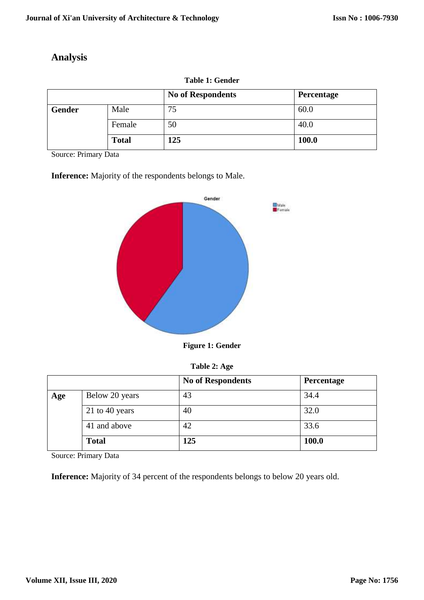# **Analysis**

|        |              | <b>No of Respondents</b> | Percentage |
|--------|--------------|--------------------------|------------|
| Gender | Male         | 75                       | 60.0       |
|        | Female       | 50                       | 40.0       |
|        | <b>Total</b> | 125                      | 100.0      |

**Table 1: Gender**

Source: Primary Data

**Inference:** Majority of the respondents belongs to Male.



**Figure 1: Gender**

**Table 2: Age**

|     |                | <b>No of Respondents</b> | Percentage |
|-----|----------------|--------------------------|------------|
| Age | Below 20 years | 43                       | 34.4       |
|     | 21 to 40 years | 40                       | 32.0       |
|     | 41 and above   | 42                       | 33.6       |
|     | <b>Total</b>   | 125                      | 100.0      |

Source: Primary Data

**Inference:** Majority of 34 percent of the respondents belongs to below 20 years old.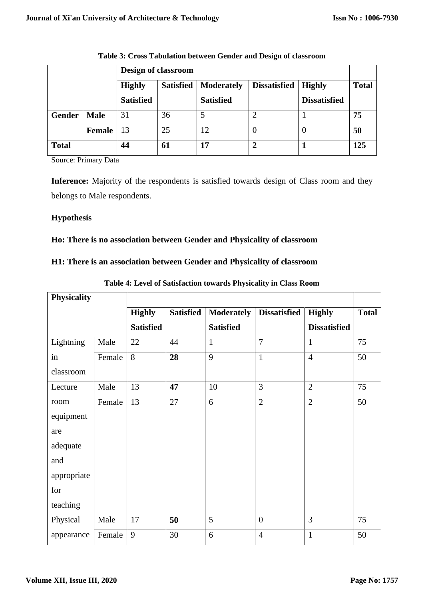|              |               | Design of classroom |                  |                   |                     |                     |              |  |  |
|--------------|---------------|---------------------|------------------|-------------------|---------------------|---------------------|--------------|--|--|
|              |               | <b>Highly</b>       | <b>Satisfied</b> | <b>Moderately</b> | <b>Dissatisfied</b> | <b>Highly</b>       | <b>Total</b> |  |  |
|              |               | <b>Satisfied</b>    |                  | <b>Satisfied</b>  |                     | <b>Dissatisfied</b> |              |  |  |
| Gender       | <b>Male</b>   | 31                  | 36               |                   |                     |                     | 75           |  |  |
|              | <b>Female</b> | 13                  | 25               | 12                |                     | $\theta$            | 50           |  |  |
| <b>Total</b> |               | 44                  | 61               | 17                | 2                   |                     | 125          |  |  |

**Table 3: Cross Tabulation between Gender and Design of classroom**

Source: Primary Data

**Inference:** Majority of the respondents is satisfied towards design of Class room and they belongs to Male respondents.

#### **Hypothesis**

#### **Ho: There is no association between Gender and Physicality of classroom**

#### **H1: There is an association between Gender and Physicality of classroom**

| <b>Physicality</b> |        |                  |                  |                   |                     |                     |              |
|--------------------|--------|------------------|------------------|-------------------|---------------------|---------------------|--------------|
|                    |        | <b>Highly</b>    | <b>Satisfied</b> | <b>Moderately</b> | <b>Dissatisfied</b> | <b>Highly</b>       | <b>Total</b> |
|                    |        | <b>Satisfied</b> |                  | <b>Satisfied</b>  |                     | <b>Dissatisfied</b> |              |
| Lightning          | Male   | 22               | 44               | $\mathbf{1}$      | $\overline{7}$      | $\mathbf{1}$        | 75           |
| in                 | Female | 8                | 28               | 9                 | $\mathbf{1}$        | $\overline{4}$      | 50           |
| classroom          |        |                  |                  |                   |                     |                     |              |
| Lecture            | Male   | 13               | 47               | 10                | $\overline{3}$      | $\overline{2}$      | 75           |
| room               | Female | 13               | 27               | 6                 | $\overline{2}$      | $\overline{2}$      | 50           |
| equipment          |        |                  |                  |                   |                     |                     |              |
| are                |        |                  |                  |                   |                     |                     |              |
| adequate           |        |                  |                  |                   |                     |                     |              |
| and                |        |                  |                  |                   |                     |                     |              |
| appropriate        |        |                  |                  |                   |                     |                     |              |
| for                |        |                  |                  |                   |                     |                     |              |
| teaching           |        |                  |                  |                   |                     |                     |              |
| Physical           | Male   | 17               | 50               | 5                 | $\boldsymbol{0}$    | 3                   | 75           |
| appearance         | Female | 9                | 30               | 6                 | $\overline{4}$      | $\mathbf{1}$        | 50           |

**Table 4: Level of Satisfaction towards Physicality in Class Room**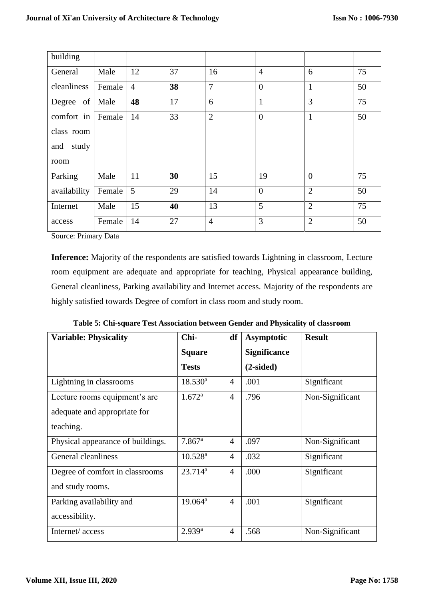| building     |        |                |    |                |                |                |    |
|--------------|--------|----------------|----|----------------|----------------|----------------|----|
| General      | Male   | 12             | 37 | 16             | $\overline{4}$ | 6              | 75 |
| cleanliness  | Female | $\overline{4}$ | 38 | $\overline{7}$ | $\overline{0}$ | $\mathbf{1}$   | 50 |
| Degree of    | Male   | 48             | 17 | 6              | $\mathbf{1}$   | 3              | 75 |
| comfort in   | Female | 14             | 33 | $\overline{2}$ | $\overline{0}$ | $\mathbf{1}$   | 50 |
| class room   |        |                |    |                |                |                |    |
| study<br>and |        |                |    |                |                |                |    |
| room         |        |                |    |                |                |                |    |
| Parking      | Male   | 11             | 30 | 15             | 19             | $\overline{0}$ | 75 |
| availability | Female | 5              | 29 | 14             | $\overline{0}$ | $\overline{2}$ | 50 |
| Internet     | Male   | 15             | 40 | 13             | 5              | $\overline{2}$ | 75 |
| access       | Female | 14             | 27 | $\overline{4}$ | 3              | $\overline{2}$ | 50 |

Source: Primary Data

**Inference:** Majority of the respondents are satisfied towards Lightning in classroom, Lecture room equipment are adequate and appropriate for teaching, Physical appearance building, General cleanliness, Parking availability and Internet access. Majority of the respondents are highly satisfied towards Degree of comfort in class room and study room.

|  |  |  |  |  | Table 5: Chi-square Test Association between Gender and Physicality of classroom |  |
|--|--|--|--|--|----------------------------------------------------------------------------------|--|
|--|--|--|--|--|----------------------------------------------------------------------------------|--|

| <b>Variable: Physicality</b>      | Chi-                  | df             | Asymptotic          | <b>Result</b>   |
|-----------------------------------|-----------------------|----------------|---------------------|-----------------|
|                                   | <b>Square</b>         |                | <b>Significance</b> |                 |
|                                   | <b>Tests</b>          |                | $(2-sided)$         |                 |
| Lightning in classrooms           | $18.530^a$            | $\overline{4}$ | .001                | Significant     |
| Lecture rooms equipment's are     | $1.672^{\rm a}$       | $\overline{4}$ | .796                | Non-Significant |
| adequate and appropriate for      |                       |                |                     |                 |
| teaching.                         |                       |                |                     |                 |
| Physical appearance of buildings. | $7.867$ <sup>a</sup>  | $\overline{4}$ | .097                | Non-Significant |
| General cleanliness               | $10.528^{\rm a}$      | $\overline{4}$ | .032                | Significant     |
| Degree of comfort in classrooms   | $23.714^a$            | $\overline{4}$ | .000                | Significant     |
| and study rooms.                  |                       |                |                     |                 |
| Parking availability and          | $19.064^{\mathrm{a}}$ | $\overline{4}$ | .001                | Significant     |
| accessibility.                    |                       |                |                     |                 |
| Internet/access                   | $2.939^{a}$           | $\overline{4}$ | .568                | Non-Significant |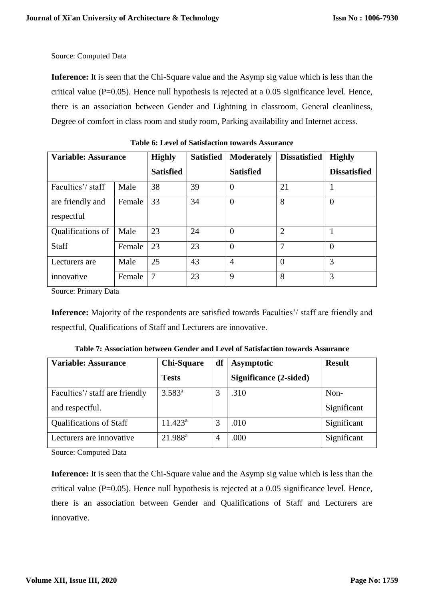Source: Computed Data

**Inference:** It is seen that the Chi-Square value and the Asymp sig value which is less than the critical value  $(P=0.05)$ . Hence null hypothesis is rejected at a 0.05 significance level. Hence, there is an association between Gender and Lightning in classroom, General cleanliness, Degree of comfort in class room and study room, Parking availability and Internet access.

| <b>Variable: Assurance</b> |        | <b>Highly</b>    | <b>Satisfied</b> | <b>Moderately</b> | <b>Dissatisfied</b> | <b>Highly</b>       |
|----------------------------|--------|------------------|------------------|-------------------|---------------------|---------------------|
|                            |        | <b>Satisfied</b> |                  | <b>Satisfied</b>  |                     | <b>Dissatisfied</b> |
| Faculties'/staff           | Male   | 38               | 39               | $\Omega$          | 21                  |                     |
| are friendly and           | Female | 33               | 34               | $\overline{0}$    | 8                   | $\overline{0}$      |
| respectful                 |        |                  |                  |                   |                     |                     |
| Qualifications of          | Male   | 23               | 24               | $\theta$          | $\overline{2}$      |                     |
| <b>Staff</b>               | Female | 23               | 23               | $\Omega$          | 7                   | $\overline{0}$      |
| Lecturers are              | Male   | 25               | 43               | $\overline{4}$    | $\Omega$            | 3                   |
| innovative                 | Female | $\overline{7}$   | 23               | 9                 | 8                   | 3                   |

**Table 6: Level of Satisfaction towards Assurance**

Source: Primary Data

**Inference:** Majority of the respondents are satisfied towards Faculties'/ staff are friendly and respectful, Qualifications of Staff and Lecturers are innovative.

| <b>Variable: Assurance</b>     | <b>Chi-Square</b>   | df | <b>Asymptotic</b>      | <b>Result</b> |
|--------------------------------|---------------------|----|------------------------|---------------|
|                                | <b>Tests</b>        |    | Significance (2-sided) |               |
| Faculties'/staff are friendly  | $3.583^{a}$         | 3  | .310                   | Non-          |
| and respectful.                |                     |    |                        | Significant   |
| <b>Qualifications of Staff</b> | $11.423^a$          | 3  | .010                   | Significant   |
| Lecturers are innovative       | 21.988 <sup>a</sup> | 4  | .000                   | Significant   |

**Table 7: Association between Gender and Level of Satisfaction towards Assurance**

Source: Computed Data

**Inference:** It is seen that the Chi-Square value and the Asymp sig value which is less than the critical value  $(P=0.05)$ . Hence null hypothesis is rejected at a 0.05 significance level. Hence, there is an association between Gender and Qualifications of Staff and Lecturers are innovative.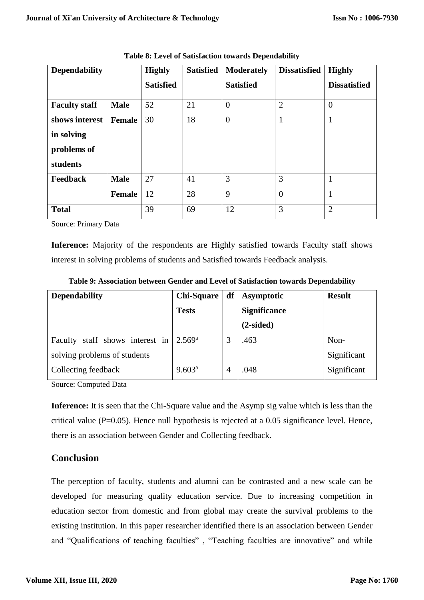| <b>Dependability</b> |             | <b>Highly</b>    | <b>Satisfied</b> | <b>Moderately</b> | <b>Dissatisfied</b> | <b>Highly</b>       |
|----------------------|-------------|------------------|------------------|-------------------|---------------------|---------------------|
|                      |             | <b>Satisfied</b> |                  | <b>Satisfied</b>  |                     | <b>Dissatisfied</b> |
| <b>Faculty staff</b> | <b>Male</b> | 52               | 21               | $\theta$          | $\overline{2}$      | $\theta$            |
| shows interest       | Female      | 30               | 18               | $\overline{0}$    | $\mathbf{1}$        | $\mathbf{1}$        |
| in solving           |             |                  |                  |                   |                     |                     |
| problems of          |             |                  |                  |                   |                     |                     |
| students             |             |                  |                  |                   |                     |                     |
| <b>Feedback</b>      | <b>Male</b> | 27               | 41               | 3                 | 3                   | $\mathbf{1}$        |
|                      | Female      | 12               | 28               | 9                 | $\overline{0}$      | $\mathbf{1}$        |
| <b>Total</b>         |             | 39               | 69               | 12                | 3                   | $\overline{2}$      |

**Table 8: Level of Satisfaction towards Dependability**

Source: Primary Data

Inference: Majority of the respondents are Highly satisfied towards Faculty staff shows interest in solving problems of students and Satisfied towards Feedback analysis.

| <b>Dependability</b>            | <b>Chi-Square</b> | df | <b>Asymptotic</b>   | <b>Result</b> |
|---------------------------------|-------------------|----|---------------------|---------------|
|                                 | <b>Tests</b>      |    | <b>Significance</b> |               |
|                                 |                   |    | $(2-sided)$         |               |
| Faculty staff shows interest in | $2.569^{\rm a}$   |    | .463                | Non-          |
| solving problems of students    |                   |    |                     | Significant   |
| Collecting feedback             | $9.603^a$         |    | .048                | Significant   |

**Table 9: Association between Gender and Level of Satisfaction towards Dependability**

Source: Computed Data

**Inference:** It is seen that the Chi-Square value and the Asymp sig value which is less than the critical value  $(P=0.05)$ . Hence null hypothesis is rejected at a 0.05 significance level. Hence, there is an association between Gender and Collecting feedback.

## **Conclusion**

The perception of faculty, students and alumni can be contrasted and a new scale can be developed for measuring quality education service. Due to increasing competition in education sector from domestic and from global may create the survival problems to the existing institution. In this paper researcher identified there is an association between Gender and "Qualifications of teaching faculties", "Teaching faculties are innovative" and while